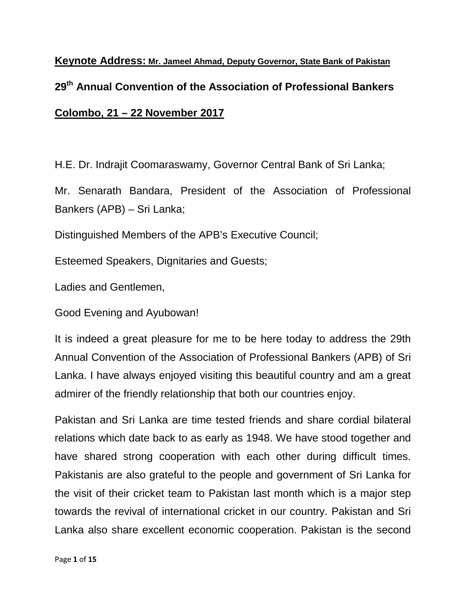**Keynote Address: Mr. Jameel Ahmad, Deputy Governor, State Bank of Pakistan 29th Annual Convention of the Association of Professional Bankers Colombo, 21 – 22 November 2017**

H.E. Dr. Indrajit Coomaraswamy, Governor Central Bank of Sri Lanka;

Mr. Senarath Bandara, President of the Association of Professional Bankers (APB) – Sri Lanka;

Distinguished Members of the APB's Executive Council;

Esteemed Speakers, Dignitaries and Guests;

Ladies and Gentlemen,

Good Evening and Ayubowan!

It is indeed a great pleasure for me to be here today to address the 29th Annual Convention of the Association of Professional Bankers (APB) of Sri Lanka. I have always enjoyed visiting this beautiful country and am a great admirer of the friendly relationship that both our countries enjoy.

Pakistan and Sri Lanka are time tested friends and share cordial bilateral relations which date back to as early as 1948. We have stood together and have shared strong cooperation with each other during difficult times. Pakistanis are also grateful to the people and government of Sri Lanka for the visit of their cricket team to Pakistan last month which is a major step towards the revival of international cricket in our country. Pakistan and Sri Lanka also share excellent economic cooperation. Pakistan is the second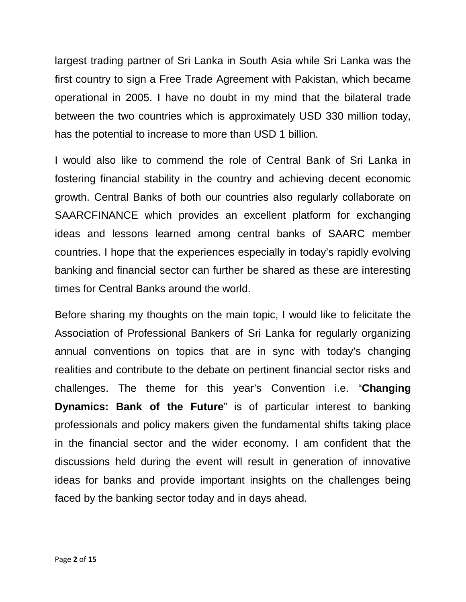largest trading partner of Sri Lanka in South Asia while Sri Lanka was the first country to sign a Free Trade Agreement with Pakistan, which became operational in 2005. I have no doubt in my mind that the bilateral trade between the two countries which is approximately USD 330 million today, has the potential to increase to more than USD 1 billion.

I would also like to commend the role of Central Bank of Sri Lanka in fostering financial stability in the country and achieving decent economic growth. Central Banks of both our countries also regularly collaborate on SAARCFINANCE which provides an excellent platform for exchanging ideas and lessons learned among central banks of SAARC member countries. I hope that the experiences especially in today's rapidly evolving banking and financial sector can further be shared as these are interesting times for Central Banks around the world.

Before sharing my thoughts on the main topic, I would like to felicitate the Association of Professional Bankers of Sri Lanka for regularly organizing annual conventions on topics that are in sync with today's changing realities and contribute to the debate on pertinent financial sector risks and challenges. The theme for this year's Convention i.e. "**Changing Dynamics: Bank of the Future**" is of particular interest to banking professionals and policy makers given the fundamental shifts taking place in the financial sector and the wider economy. I am confident that the discussions held during the event will result in generation of innovative ideas for banks and provide important insights on the challenges being faced by the banking sector today and in days ahead.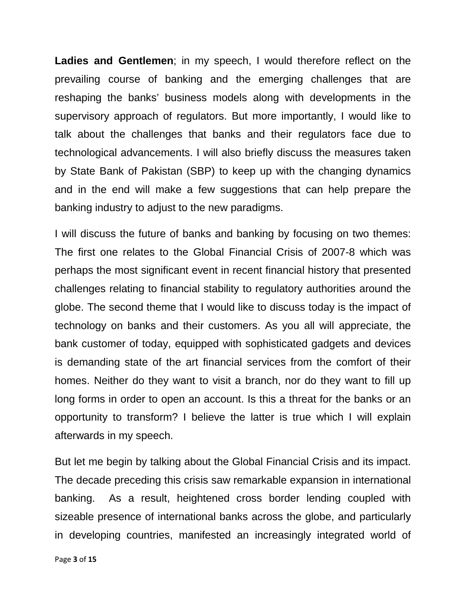**Ladies and Gentlemen**; in my speech, I would therefore reflect on the prevailing course of banking and the emerging challenges that are reshaping the banks' business models along with developments in the supervisory approach of regulators. But more importantly, I would like to talk about the challenges that banks and their regulators face due to technological advancements. I will also briefly discuss the measures taken by State Bank of Pakistan (SBP) to keep up with the changing dynamics and in the end will make a few suggestions that can help prepare the banking industry to adjust to the new paradigms.

I will discuss the future of banks and banking by focusing on two themes: The first one relates to the Global Financial Crisis of 2007-8 which was perhaps the most significant event in recent financial history that presented challenges relating to financial stability to regulatory authorities around the globe. The second theme that I would like to discuss today is the impact of technology on banks and their customers. As you all will appreciate, the bank customer of today, equipped with sophisticated gadgets and devices is demanding state of the art financial services from the comfort of their homes. Neither do they want to visit a branch, nor do they want to fill up long forms in order to open an account. Is this a threat for the banks or an opportunity to transform? I believe the latter is true which I will explain afterwards in my speech.

But let me begin by talking about the Global Financial Crisis and its impact. The decade preceding this crisis saw remarkable expansion in international banking. As a result, heightened cross border lending coupled with sizeable presence of international banks across the globe, and particularly in developing countries, manifested an increasingly integrated world of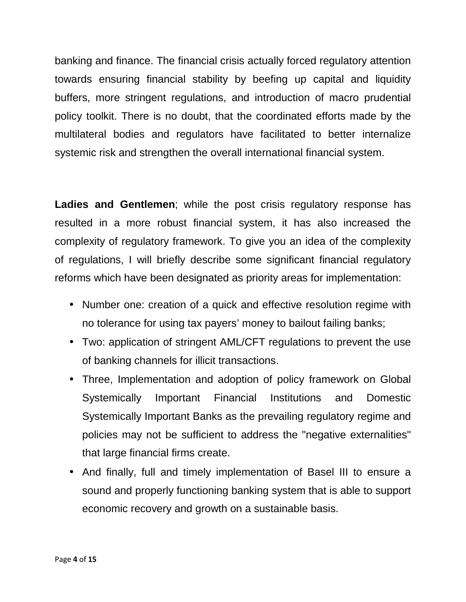banking and finance. The financial crisis actually forced regulatory attention towards ensuring financial stability by beefing up capital and liquidity buffers, more stringent regulations, and introduction of macro prudential policy toolkit. There is no doubt, that the coordinated efforts made by the multilateral bodies and regulators have facilitated to better internalize systemic risk and strengthen the overall international financial system.

Ladies and Gentlemen; while the post crisis regulatory response has resulted in a more robust financial system, it has also increased the complexity of regulatory framework. To give you an idea of the complexity of regulations, I will briefly describe some significant financial regulatory reforms which have been designated as priority areas for implementation:

- Number one: creation of a quick and effective resolution regime with no tolerance for using tax payers' money to bailout failing banks;
- Two: application of stringent AML/CFT regulations to prevent the use of banking channels for illicit transactions.
- Three, Implementation and adoption of policy framework on Global Systemically Important Financial Institutions and Domestic Systemically Important Banks as the prevailing regulatory regime and policies may not be sufficient to address the "negative externalities" that large financial firms create.
- And finally, full and timely implementation of Basel III to ensure a sound and properly functioning banking system that is able to support economic recovery and growth on a sustainable basis.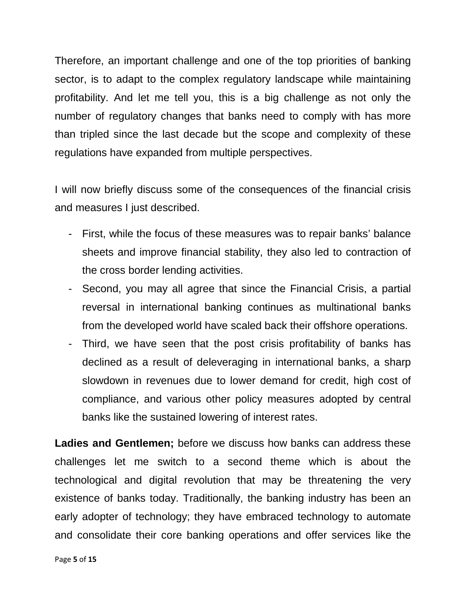Therefore, an important challenge and one of the top priorities of banking sector, is to adapt to the complex regulatory landscape while maintaining profitability. And let me tell you, this is a big challenge as not only the number of regulatory changes that banks need to comply with has more than tripled since the last decade but the scope and complexity of these regulations have expanded from multiple perspectives.

I will now briefly discuss some of the consequences of the financial crisis and measures I just described.

- First, while the focus of these measures was to repair banks' balance sheets and improve financial stability, they also led to contraction of the cross border lending activities.
- Second, you may all agree that since the Financial Crisis, a partial reversal in international banking continues as multinational banks from the developed world have scaled back their offshore operations.
- Third, we have seen that the post crisis profitability of banks has declined as a result of deleveraging in international banks, a sharp slowdown in revenues due to lower demand for credit, high cost of compliance, and various other policy measures adopted by central banks like the sustained lowering of interest rates.

**Ladies and Gentlemen;** before we discuss how banks can address these challenges let me switch to a second theme which is about the technological and digital revolution that may be threatening the very existence of banks today. Traditionally, the banking industry has been an early adopter of technology; they have embraced technology to automate and consolidate their core banking operations and offer services like the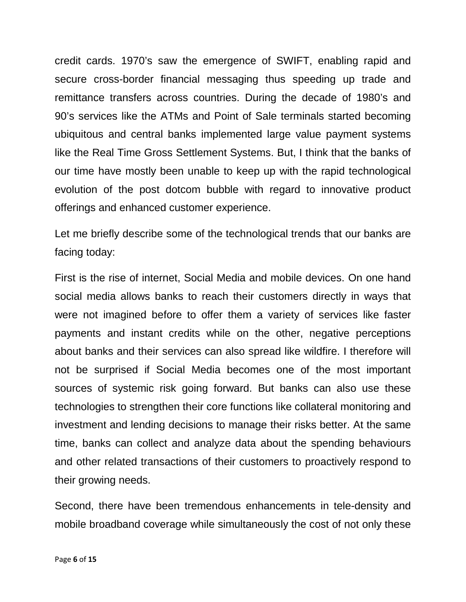credit cards. 1970's saw the emergence of SWIFT, enabling rapid and secure cross-border financial messaging thus speeding up trade and remittance transfers across countries. During the decade of 1980's and 90's services like the ATMs and Point of Sale terminals started becoming ubiquitous and central banks implemented large value payment systems like the Real Time Gross Settlement Systems. But, I think that the banks of our time have mostly been unable to keep up with the rapid technological evolution of the post dotcom bubble with regard to innovative product offerings and enhanced customer experience.

Let me briefly describe some of the technological trends that our banks are facing today:

First is the rise of internet, Social Media and mobile devices. On one hand social media allows banks to reach their customers directly in ways that were not imagined before to offer them a variety of services like faster payments and instant credits while on the other, negative perceptions about banks and their services can also spread like wildfire. I therefore will not be surprised if Social Media becomes one of the most important sources of systemic risk going forward. But banks can also use these technologies to strengthen their core functions like collateral monitoring and investment and lending decisions to manage their risks better. At the same time, banks can collect and analyze data about the spending behaviours and other related transactions of their customers to proactively respond to their growing needs.

Second, there have been tremendous enhancements in tele-density and mobile broadband coverage while simultaneously the cost of not only these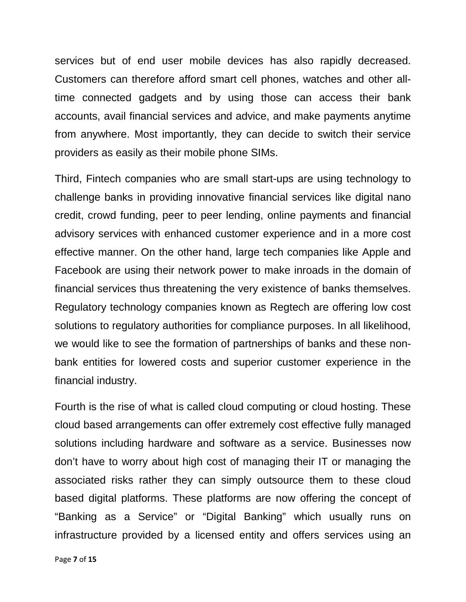services but of end user mobile devices has also rapidly decreased. Customers can therefore afford smart cell phones, watches and other alltime connected gadgets and by using those can access their bank accounts, avail financial services and advice, and make payments anytime from anywhere. Most importantly, they can decide to switch their service providers as easily as their mobile phone SIMs.

Third, Fintech companies who are small start-ups are using technology to challenge banks in providing innovative financial services like digital nano credit, crowd funding, peer to peer lending, online payments and financial advisory services with enhanced customer experience and in a more cost effective manner. On the other hand, large tech companies like Apple and Facebook are using their network power to make inroads in the domain of financial services thus threatening the very existence of banks themselves. Regulatory technology companies known as Regtech are offering low cost solutions to regulatory authorities for compliance purposes. In all likelihood, we would like to see the formation of partnerships of banks and these nonbank entities for lowered costs and superior customer experience in the financial industry.

Fourth is the rise of what is called cloud computing or cloud hosting. These cloud based arrangements can offer extremely cost effective fully managed solutions including hardware and software as a service. Businesses now don't have to worry about high cost of managing their IT or managing the associated risks rather they can simply outsource them to these cloud based digital platforms. These platforms are now offering the concept of "Banking as a Service" or "Digital Banking" which usually runs on infrastructure provided by a licensed entity and offers services using an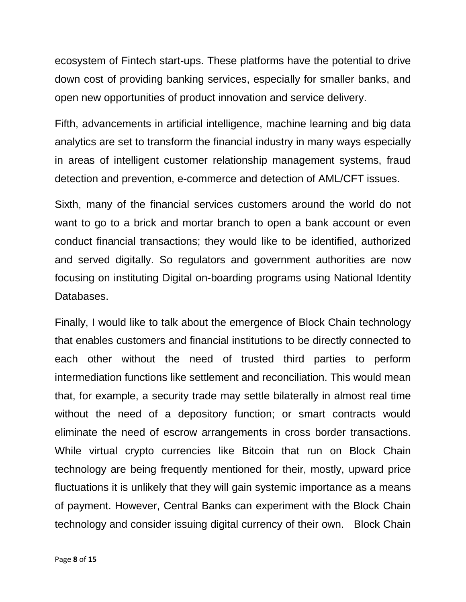ecosystem of Fintech start-ups. These platforms have the potential to drive down cost of providing banking services, especially for smaller banks, and open new opportunities of product innovation and service delivery.

Fifth, advancements in artificial intelligence, machine learning and big data analytics are set to transform the financial industry in many ways especially in areas of intelligent customer relationship management systems, fraud detection and prevention, e-commerce and detection of AML/CFT issues.

Sixth, many of the financial services customers around the world do not want to go to a brick and mortar branch to open a bank account or even conduct financial transactions; they would like to be identified, authorized and served digitally. So regulators and government authorities are now focusing on instituting Digital on-boarding programs using National Identity Databases.

Finally, I would like to talk about the emergence of Block Chain technology that enables customers and financial institutions to be directly connected to each other without the need of trusted third parties to perform intermediation functions like settlement and reconciliation. This would mean that, for example, a security trade may settle bilaterally in almost real time without the need of a depository function; or smart contracts would eliminate the need of escrow arrangements in cross border transactions. While virtual crypto currencies like Bitcoin that run on Block Chain technology are being frequently mentioned for their, mostly, upward price fluctuations it is unlikely that they will gain systemic importance as a means of payment. However, Central Banks can experiment with the Block Chain technology and consider issuing digital currency of their own. Block Chain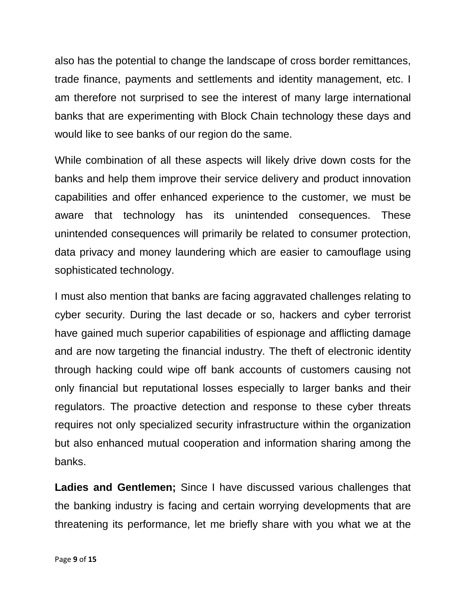also has the potential to change the landscape of cross border remittances, trade finance, payments and settlements and identity management, etc. I am therefore not surprised to see the interest of many large international banks that are experimenting with Block Chain technology these days and would like to see banks of our region do the same.

While combination of all these aspects will likely drive down costs for the banks and help them improve their service delivery and product innovation capabilities and offer enhanced experience to the customer, we must be aware that technology has its unintended consequences. These unintended consequences will primarily be related to consumer protection, data privacy and money laundering which are easier to camouflage using sophisticated technology.

I must also mention that banks are facing aggravated challenges relating to cyber security. During the last decade or so, hackers and cyber terrorist have gained much superior capabilities of espionage and afflicting damage and are now targeting the financial industry. The theft of electronic identity through hacking could wipe off bank accounts of customers causing not only financial but reputational losses especially to larger banks and their regulators. The proactive detection and response to these cyber threats requires not only specialized security infrastructure within the organization but also enhanced mutual cooperation and information sharing among the banks.

**Ladies and Gentlemen;** Since I have discussed various challenges that the banking industry is facing and certain worrying developments that are threatening its performance, let me briefly share with you what we at the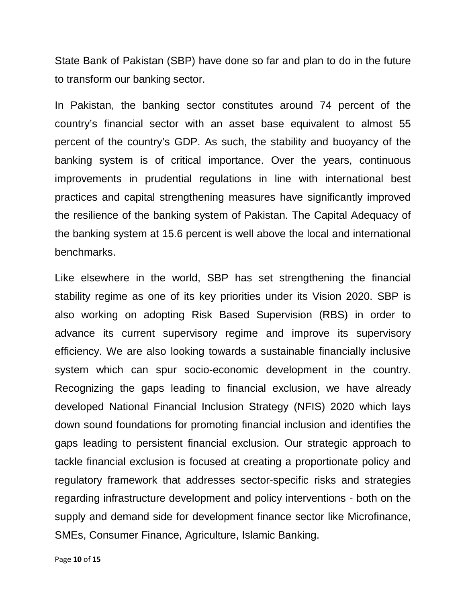State Bank of Pakistan (SBP) have done so far and plan to do in the future to transform our banking sector.

In Pakistan, the banking sector constitutes around 74 percent of the country's financial sector with an asset base equivalent to almost 55 percent of the country's GDP. As such, the stability and buoyancy of the banking system is of critical importance. Over the years, continuous improvements in prudential regulations in line with international best practices and capital strengthening measures have significantly improved the resilience of the banking system of Pakistan. The Capital Adequacy of the banking system at 15.6 percent is well above the local and international benchmarks.

Like elsewhere in the world, SBP has set strengthening the financial stability regime as one of its key priorities under its Vision 2020. SBP is also working on adopting Risk Based Supervision (RBS) in order to advance its current supervisory regime and improve its supervisory efficiency. We are also looking towards a sustainable financially inclusive system which can spur socio-economic development in the country. Recognizing the gaps leading to financial exclusion, we have already developed National Financial Inclusion Strategy (NFIS) 2020 which lays down sound foundations for promoting financial inclusion and identifies the gaps leading to persistent financial exclusion. Our strategic approach to tackle financial exclusion is focused at creating a proportionate policy and regulatory framework that addresses sector-specific risks and strategies regarding infrastructure development and policy interventions - both on the supply and demand side for development finance sector like Microfinance, SMEs, Consumer Finance, Agriculture, Islamic Banking.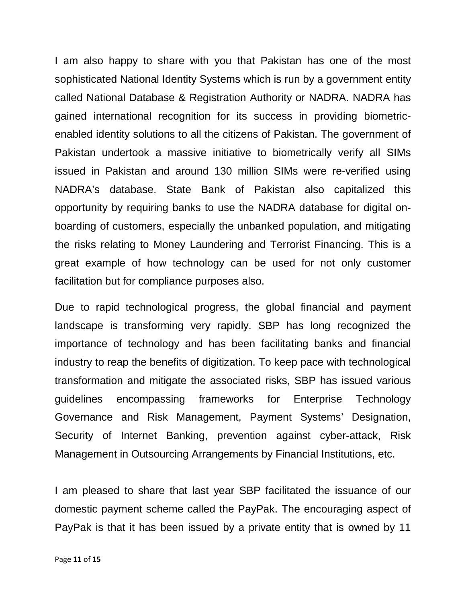I am also happy to share with you that Pakistan has one of the most sophisticated National Identity Systems which is run by a government entity called National Database & Registration Authority or NADRA. NADRA has gained international recognition for its success in providing biometricenabled identity solutions to all the citizens of Pakistan. The government of Pakistan undertook a massive initiative to biometrically verify all SIMs issued in Pakistan and around 130 million SIMs were re-verified using NADRA's database. State Bank of Pakistan also capitalized this opportunity by requiring banks to use the NADRA database for digital onboarding of customers, especially the unbanked population, and mitigating the risks relating to Money Laundering and Terrorist Financing. This is a great example of how technology can be used for not only customer facilitation but for compliance purposes also.

Due to rapid technological progress, the global financial and payment landscape is transforming very rapidly. SBP has long recognized the importance of technology and has been facilitating banks and financial industry to reap the benefits of digitization. To keep pace with technological transformation and mitigate the associated risks, SBP has issued various guidelines encompassing frameworks for Enterprise Technology Governance and Risk Management, Payment Systems' Designation, Security of Internet Banking, prevention against cyber-attack, Risk Management in Outsourcing Arrangements by Financial Institutions, etc.

I am pleased to share that last year SBP facilitated the issuance of our domestic payment scheme called the PayPak. The encouraging aspect of PayPak is that it has been issued by a private entity that is owned by 11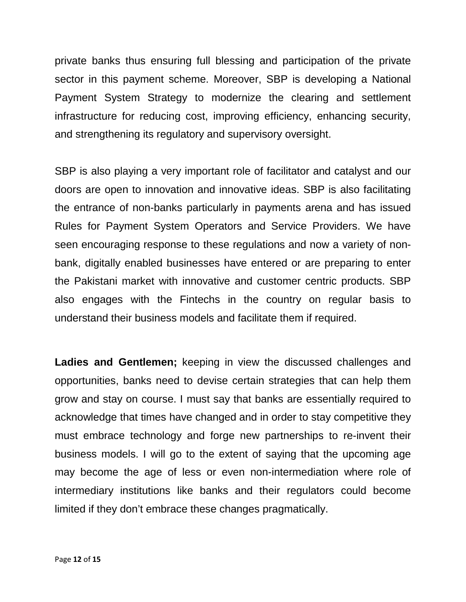private banks thus ensuring full blessing and participation of the private sector in this payment scheme. Moreover, SBP is developing a National Payment System Strategy to modernize the clearing and settlement infrastructure for reducing cost, improving efficiency, enhancing security, and strengthening its regulatory and supervisory oversight.

SBP is also playing a very important role of facilitator and catalyst and our doors are open to innovation and innovative ideas. SBP is also facilitating the entrance of non-banks particularly in payments arena and has issued Rules for Payment System Operators and Service Providers. We have seen encouraging response to these regulations and now a variety of nonbank, digitally enabled businesses have entered or are preparing to enter the Pakistani market with innovative and customer centric products. SBP also engages with the Fintechs in the country on regular basis to understand their business models and facilitate them if required.

**Ladies and Gentlemen;** keeping in view the discussed challenges and opportunities, banks need to devise certain strategies that can help them grow and stay on course. I must say that banks are essentially required to acknowledge that times have changed and in order to stay competitive they must embrace technology and forge new partnerships to re-invent their business models. I will go to the extent of saying that the upcoming age may become the age of less or even non-intermediation where role of intermediary institutions like banks and their regulators could become limited if they don't embrace these changes pragmatically.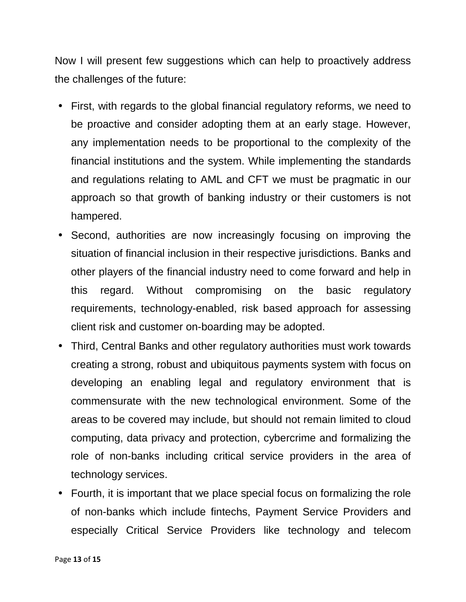Now I will present few suggestions which can help to proactively address the challenges of the future:

- First, with regards to the global financial regulatory reforms, we need to be proactive and consider adopting them at an early stage. However, any implementation needs to be proportional to the complexity of the financial institutions and the system. While implementing the standards and regulations relating to AML and CFT we must be pragmatic in our approach so that growth of banking industry or their customers is not hampered.
- Second, authorities are now increasingly focusing on improving the situation of financial inclusion in their respective jurisdictions. Banks and other players of the financial industry need to come forward and help in this regard. Without compromising on the basic regulatory requirements, technology-enabled, risk based approach for assessing client risk and customer on-boarding may be adopted.
- Third, Central Banks and other regulatory authorities must work towards creating a strong, robust and ubiquitous payments system with focus on developing an enabling legal and regulatory environment that is commensurate with the new technological environment. Some of the areas to be covered may include, but should not remain limited to cloud computing, data privacy and protection, cybercrime and formalizing the role of non-banks including critical service providers in the area of technology services.
- Fourth, it is important that we place special focus on formalizing the role of non-banks which include fintechs, Payment Service Providers and especially Critical Service Providers like technology and telecom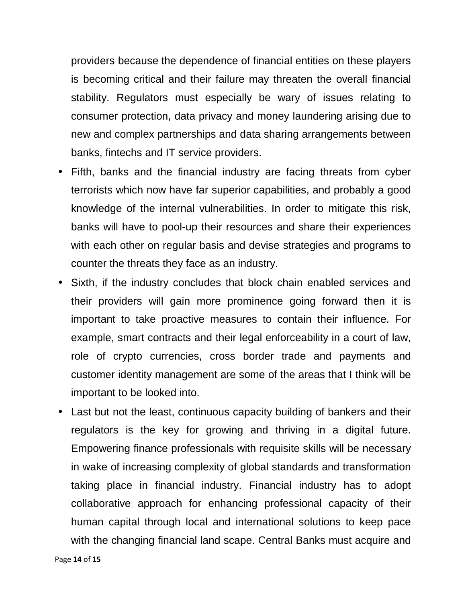providers because the dependence of financial entities on these players is becoming critical and their failure may threaten the overall financial stability. Regulators must especially be wary of issues relating to consumer protection, data privacy and money laundering arising due to new and complex partnerships and data sharing arrangements between banks, fintechs and IT service providers.

- Fifth, banks and the financial industry are facing threats from cyber terrorists which now have far superior capabilities, and probably a good knowledge of the internal vulnerabilities. In order to mitigate this risk, banks will have to pool-up their resources and share their experiences with each other on regular basis and devise strategies and programs to counter the threats they face as an industry.
- Sixth, if the industry concludes that block chain enabled services and their providers will gain more prominence going forward then it is important to take proactive measures to contain their influence. For example, smart contracts and their legal enforceability in a court of law, role of crypto currencies, cross border trade and payments and customer identity management are some of the areas that I think will be important to be looked into.
- Last but not the least, continuous capacity building of bankers and their regulators is the key for growing and thriving in a digital future. Empowering finance professionals with requisite skills will be necessary in wake of increasing complexity of global standards and transformation taking place in financial industry. Financial industry has to adopt collaborative approach for enhancing professional capacity of their human capital through local and international solutions to keep pace with the changing financial land scape. Central Banks must acquire and